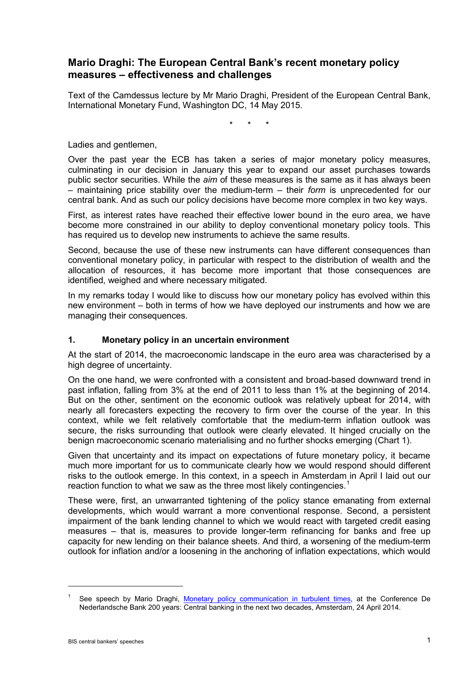### **Mario Draghi: The European Central Bank's recent monetary policy measures – effectiveness and challenges**

Text of the Camdessus lecture by Mr Mario Draghi, President of the European Central Bank, International Monetary Fund, Washington DC, 14 May 2015.

\* \* \*

Ladies and gentlemen,

Over the past year the ECB has taken a series of major monetary policy measures, culminating in our decision in January this year to expand our asset purchases towards public sector securities. While the *aim* of these measures is the same as it has always been – maintaining price stability over the medium-term – their *form* is unprecedented for our central bank. And as such our policy decisions have become more complex in two key ways.

First, as interest rates have reached their effective lower bound in the euro area, we have become more constrained in our ability to deploy conventional monetary policy tools. This has required us to develop new instruments to achieve the same results.

Second, because the use of these new instruments can have different consequences than conventional monetary policy, in particular with respect to the distribution of wealth and the allocation of resources, it has become more important that those consequences are identified, weighed and where necessary mitigated.

In my remarks today I would like to discuss how our monetary policy has evolved within this new environment – both in terms of how we have deployed our instruments and how we are managing their consequences.

### **1. Monetary policy in an uncertain environment**

At the start of 2014, the macroeconomic landscape in the euro area was characterised by a high degree of uncertainty.

On the one hand, we were confronted with a consistent and broad-based downward trend in past inflation, falling from 3% at the end of 2011 to less than 1% at the beginning of 2014. But on the other, sentiment on the economic outlook was relatively upbeat for 2014, with nearly all forecasters expecting the recovery to firm over the course of the year. In this context, while we felt relatively comfortable that the medium-term inflation outlook was secure, the risks surrounding that outlook were clearly elevated. It hinged crucially on the benign macroeconomic scenario materialising and no further shocks emerging (Chart 1).

Given that uncertainty and its impact on expectations of future monetary policy, it became much more important for us to communicate clearly how we would respond should different risks to the outlook emerge. In this context, in a speech in Amsterdam in April I laid out our reaction function to what we saw as the three most likely contingencies.<sup>[1](#page-0-0)</sup>

These were, first, an unwarranted tightening of the policy stance emanating from external developments, which would warrant a more conventional response. Second, a persistent impairment of the bank lending channel to which we would react with targeted credit easing measures – that is, measures to provide longer-term refinancing for banks and free up capacity for new lending on their balance sheets. And third, a worsening of the medium-term outlook for inflation and/or a loosening in the anchoring of inflation expectations, which would

<span id="page-0-0"></span>See speech by Mario Draghi, [Monetary policy communication in turbulent times,](http://www.ecb.europa.eu/press/key/date/2014/html/sp140424.en.html) at the Conference De Nederlandsche Bank 200 years: Central banking in the next two decades, Amsterdam, 24 April 2014.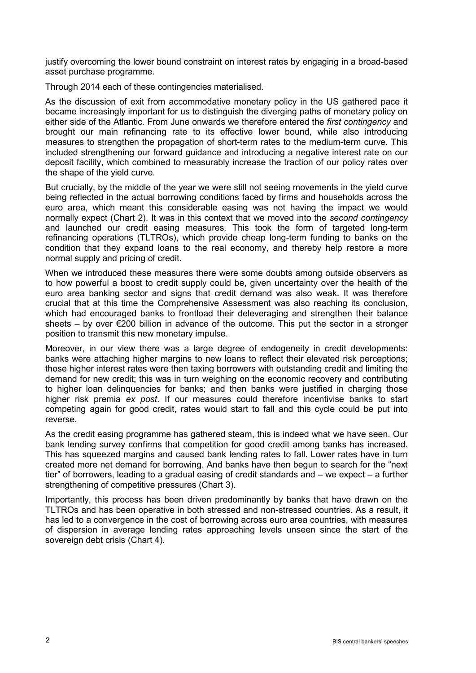justify overcoming the lower bound constraint on interest rates by engaging in a broad-based asset purchase programme.

Through 2014 each of these contingencies materialised.

As the discussion of exit from accommodative monetary policy in the US gathered pace it became increasingly important for us to distinguish the diverging paths of monetary policy on either side of the Atlantic. From June onwards we therefore entered the *first contingency* and brought our main refinancing rate to its effective lower bound, while also introducing measures to strengthen the propagation of short-term rates to the medium-term curve. This included strengthening our forward guidance and introducing a negative interest rate on our deposit facility, which combined to measurably increase the traction of our policy rates over the shape of the yield curve.

But crucially, by the middle of the year we were still not seeing movements in the yield curve being reflected in the actual borrowing conditions faced by firms and households across the euro area, which meant this considerable easing was not having the impact we would normally expect (Chart 2). It was in this context that we moved into the *second contingency*  and launched our credit easing measures. This took the form of targeted long-term refinancing operations (TLTROs), which provide cheap long-term funding to banks on the condition that they expand loans to the real economy, and thereby help restore a more normal supply and pricing of credit.

When we introduced these measures there were some doubts among outside observers as to how powerful a boost to credit supply could be, given uncertainty over the health of the euro area banking sector and signs that credit demand was also weak. It was therefore crucial that at this time the Comprehensive Assessment was also reaching its conclusion, which had encouraged banks to frontload their deleveraging and strengthen their balance sheets – by over  $\epsilon$ 200 billion in advance of the outcome. This put the sector in a stronger position to transmit this new monetary impulse.

Moreover, in our view there was a large degree of endogeneity in credit developments: banks were attaching higher margins to new loans to reflect their elevated risk perceptions; those higher interest rates were then taxing borrowers with outstanding credit and limiting the demand for new credit; this was in turn weighing on the economic recovery and contributing to higher loan delinquencies for banks; and then banks were justified in charging those higher risk premia *ex post*. If our measures could therefore incentivise banks to start competing again for good credit, rates would start to fall and this cycle could be put into reverse.

As the credit easing programme has gathered steam, this is indeed what we have seen. Our bank lending survey confirms that competition for good credit among banks has increased. This has squeezed margins and caused bank lending rates to fall. Lower rates have in turn created more net demand for borrowing. And banks have then begun to search for the "next tier" of borrowers, leading to a gradual easing of credit standards and – we expect – a further strengthening of competitive pressures (Chart 3).

Importantly, this process has been driven predominantly by banks that have drawn on the TLTROs and has been operative in both stressed and non-stressed countries. As a result, it has led to a convergence in the cost of borrowing across euro area countries, with measures of dispersion in average lending rates approaching levels unseen since the start of the sovereign debt crisis (Chart 4).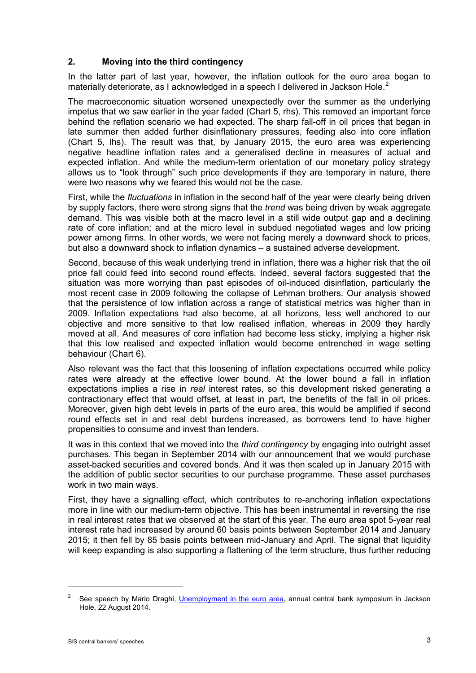### **2. Moving into the third contingency**

In the latter part of last year, however, the inflation outlook for the euro area began to materially deteriorate, as I acknowledged in a speech I delivered in Jackson Hole.<sup>[2](#page-2-0)</sup>

The macroeconomic situation worsened unexpectedly over the summer as the underlying impetus that we saw earlier in the year faded (Chart 5, rhs). This removed an important force behind the reflation scenario we had expected. The sharp fall-off in oil prices that began in late summer then added further disinflationary pressures, feeding also into core inflation (Chart 5, lhs). The result was that, by January 2015, the euro area was experiencing negative headline inflation rates and a generalised decline in measures of actual and expected inflation. And while the medium-term orientation of our monetary policy strategy allows us to "look through" such price developments if they are temporary in nature, there were two reasons why we feared this would not be the case.

First, while the *fluctuations* in inflation in the second half of the year were clearly being driven by supply factors, there were strong signs that the *trend* was being driven by weak aggregate demand. This was visible both at the macro level in a still wide output gap and a declining rate of core inflation; and at the micro level in subdued negotiated wages and low pricing power among firms. In other words, we were not facing merely a downward shock to prices, but also a downward shock to inflation dynamics – a sustained adverse development.

Second, because of this weak underlying trend in inflation, there was a higher risk that the oil price fall could feed into second round effects. Indeed, several factors suggested that the situation was more worrying than past episodes of oil-induced disinflation, particularly the most recent case in 2009 following the collapse of Lehman brothers. Our analysis showed that the persistence of low inflation across a range of statistical metrics was higher than in 2009. Inflation expectations had also become, at all horizons, less well anchored to our objective and more sensitive to that low realised inflation, whereas in 2009 they hardly moved at all. And measures of core inflation had become less sticky, implying a higher risk that this low realised and expected inflation would become entrenched in wage setting behaviour (Chart 6).

Also relevant was the fact that this loosening of inflation expectations occurred while policy rates were already at the effective lower bound. At the lower bound a fall in inflation expectations implies a rise in *real* interest rates, so this development risked generating a contractionary effect that would offset, at least in part, the benefits of the fall in oil prices. Moreover, given high debt levels in parts of the euro area, this would be amplified if second round effects set in and real debt burdens increased, as borrowers tend to have higher propensities to consume and invest than lenders.

It was in this context that we moved into the *third contingency* by engaging into outright asset purchases. This began in September 2014 with our announcement that we would purchase asset-backed securities and covered bonds. And it was then scaled up in January 2015 with the addition of public sector securities to our purchase programme. These asset purchases work in two main ways.

First, they have a signalling effect, which contributes to re-anchoring inflation expectations more in line with our medium-term objective. This has been instrumental in reversing the rise in real interest rates that we observed at the start of this year. The euro area spot 5-year real interest rate had increased by around 60 basis points between September 2014 and January 2015; it then fell by 85 basis points between mid-January and April. The signal that liquidity will keep expanding is also supporting a flattening of the term structure, thus further reducing

<span id="page-2-0"></span><sup>&</sup>lt;sup>2</sup> See speech by Mario Draghi, *Unemployment in the euro area*, annual central bank symposium in Jackson Hole, 22 August 2014.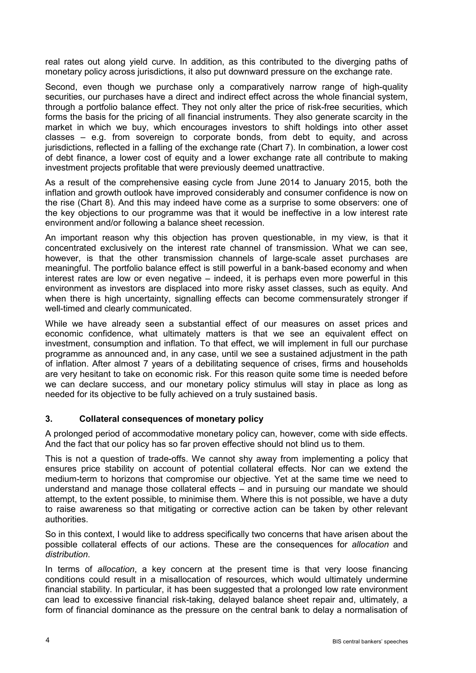real rates out along yield curve. In addition, as this contributed to the diverging paths of monetary policy across jurisdictions, it also put downward pressure on the exchange rate.

Second, even though we purchase only a comparatively narrow range of high-quality securities, our purchases have a direct and indirect effect across the whole financial system, through a portfolio balance effect. They not only alter the price of risk-free securities, which forms the basis for the pricing of all financial instruments. They also generate scarcity in the market in which we buy, which encourages investors to shift holdings into other asset classes – e.g. from sovereign to corporate bonds, from debt to equity, and across jurisdictions, reflected in a falling of the exchange rate (Chart 7). In combination, a lower cost of debt finance, a lower cost of equity and a lower exchange rate all contribute to making investment projects profitable that were previously deemed unattractive.

As a result of the comprehensive easing cycle from June 2014 to January 2015, both the inflation and growth outlook have improved considerably and consumer confidence is now on the rise (Chart 8). And this may indeed have come as a surprise to some observers: one of the key objections to our programme was that it would be ineffective in a low interest rate environment and/or following a balance sheet recession.

An important reason why this objection has proven questionable, in my view, is that it concentrated exclusively on the interest rate channel of transmission. What we can see, however, is that the other transmission channels of large-scale asset purchases are meaningful. The portfolio balance effect is still powerful in a bank-based economy and when interest rates are low or even negative – indeed, it is perhaps even more powerful in this environment as investors are displaced into more risky asset classes, such as equity. And when there is high uncertainty, signalling effects can become commensurately stronger if well-timed and clearly communicated.

While we have already seen a substantial effect of our measures on asset prices and economic confidence, what ultimately matters is that we see an equivalent effect on investment, consumption and inflation. To that effect, we will implement in full our purchase programme as announced and, in any case, until we see a sustained adjustment in the path of inflation. After almost 7 years of a debilitating sequence of crises, firms and households are very hesitant to take on economic risk. For this reason quite some time is needed before we can declare success, and our monetary policy stimulus will stay in place as long as needed for its objective to be fully achieved on a truly sustained basis.

### **3. Collateral consequences of monetary policy**

A prolonged period of accommodative monetary policy can, however, come with side effects. And the fact that our policy has so far proven effective should not blind us to them.

This is not a question of trade-offs. We cannot shy away from implementing a policy that ensures price stability on account of potential collateral effects. Nor can we extend the medium-term to horizons that compromise our objective. Yet at the same time we need to understand and manage those collateral effects – and in pursuing our mandate we should attempt, to the extent possible, to minimise them. Where this is not possible, we have a duty to raise awareness so that mitigating or corrective action can be taken by other relevant authorities.

So in this context, I would like to address specifically two concerns that have arisen about the possible collateral effects of our actions. These are the consequences for *allocation* and *distribution*.

In terms of *allocation*, a key concern at the present time is that very loose financing conditions could result in a misallocation of resources, which would ultimately undermine financial stability. In particular, it has been suggested that a prolonged low rate environment can lead to excessive financial risk-taking, delayed balance sheet repair and, ultimately, a form of financial dominance as the pressure on the central bank to delay a normalisation of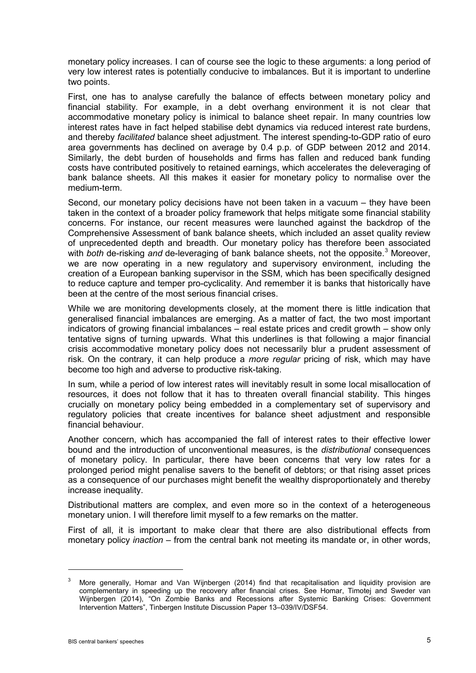monetary policy increases. I can of course see the logic to these arguments: a long period of very low interest rates is potentially conducive to imbalances. But it is important to underline two points.

First, one has to analyse carefully the balance of effects between monetary policy and financial stability. For example, in a debt overhang environment it is not clear that accommodative monetary policy is inimical to balance sheet repair. In many countries low interest rates have in fact helped stabilise debt dynamics via reduced interest rate burdens, and thereby *facilitated* balance sheet adjustment. The interest spending-to-GDP ratio of euro area governments has declined on average by 0.4 p.p. of GDP between 2012 and 2014. Similarly, the debt burden of households and firms has fallen and reduced bank funding costs have contributed positively to retained earnings, which accelerates the deleveraging of bank balance sheets. All this makes it easier for monetary policy to normalise over the medium-term.

Second, our monetary policy decisions have not been taken in a vacuum – they have been taken in the context of a broader policy framework that helps mitigate some financial stability concerns. For instance, our recent measures were launched against the backdrop of the Comprehensive Assessment of bank balance sheets, which included an asset quality review of unprecedented depth and breadth. Our monetary policy has therefore been associated with *both* de-risking *and* de-leveraging of bank balance sheets, not the opposite. [3](#page-4-0) Moreover, we are now operating in a new regulatory and supervisory environment, including the creation of a European banking supervisor in the SSM, which has been specifically designed to reduce capture and temper pro-cyclicality. And remember it is banks that historically have been at the centre of the most serious financial crises.

While we are monitoring developments closely, at the moment there is little indication that generalised financial imbalances are emerging. As a matter of fact, the two most important indicators of growing financial imbalances – real estate prices and credit growth – show only tentative signs of turning upwards. What this underlines is that following a major financial crisis accommodative monetary policy does not necessarily blur a prudent assessment of risk. On the contrary, it can help produce a *more regular* pricing of risk, which may have become too high and adverse to productive risk-taking.

In sum, while a period of low interest rates will inevitably result in some local misallocation of resources, it does not follow that it has to threaten overall financial stability. This hinges crucially on monetary policy being embedded in a complementary set of supervisory and regulatory policies that create incentives for balance sheet adjustment and responsible financial behaviour.

Another concern, which has accompanied the fall of interest rates to their effective lower bound and the introduction of unconventional measures, is the *distributional* consequences of monetary policy. In particular, there have been concerns that very low rates for a prolonged period might penalise savers to the benefit of debtors; or that rising asset prices as a consequence of our purchases might benefit the wealthy disproportionately and thereby increase inequality.

Distributional matters are complex, and even more so in the context of a heterogeneous monetary union. I will therefore limit myself to a few remarks on the matter.

First of all, it is important to make clear that there are also distributional effects from monetary policy *inaction* – from the central bank not meeting its mandate or, in other words,

<span id="page-4-0"></span> $3$  More generally, Homar and Van Wijnbergen (2014) find that recapitalisation and liquidity provision are complementary in speeding up the recovery after financial crises. See Homar, Timotej and Sweder van Wijnbergen (2014), "On Zombie Banks and Recessions after Systemic Banking Crises: Government Intervention Matters", Tinbergen Institute Discussion Paper 13–039/IV/DSF54.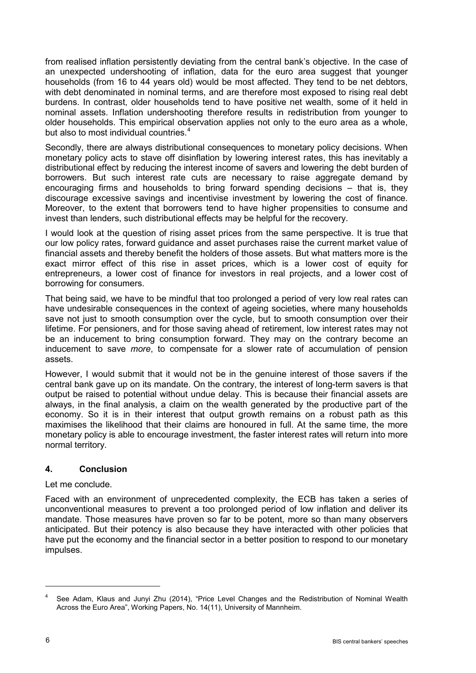from realised inflation persistently deviating from the central bank's objective. In the case of an unexpected undershooting of inflation, data for the euro area suggest that younger households (from 16 to 44 years old) would be most affected. They tend to be net debtors, with debt denominated in nominal terms, and are therefore most exposed to rising real debt burdens. In contrast, older households tend to have positive net wealth, some of it held in nominal assets. Inflation undershooting therefore results in redistribution from younger to older households. This empirical observation applies not only to the euro area as a whole, but also to most individual countries. [4](#page-5-0)

Secondly, there are always distributional consequences to monetary policy decisions. When monetary policy acts to stave off disinflation by lowering interest rates, this has inevitably a distributional effect by reducing the interest income of savers and lowering the debt burden of borrowers. But such interest rate cuts are necessary to raise aggregate demand by encouraging firms and households to bring forward spending decisions – that is, they discourage excessive savings and incentivise investment by lowering the cost of finance. Moreover, to the extent that borrowers tend to have higher propensities to consume and invest than lenders, such distributional effects may be helpful for the recovery.

I would look at the question of rising asset prices from the same perspective. It is true that our low policy rates, forward guidance and asset purchases raise the current market value of financial assets and thereby benefit the holders of those assets. But what matters more is the exact mirror effect of this rise in asset prices, which is a lower cost of equity for entrepreneurs, a lower cost of finance for investors in real projects, and a lower cost of borrowing for consumers.

That being said, we have to be mindful that too prolonged a period of very low real rates can have undesirable consequences in the context of ageing societies, where many households save not just to smooth consumption over the cycle, but to smooth consumption over their lifetime. For pensioners, and for those saving ahead of retirement, low interest rates may not be an inducement to bring consumption forward. They may on the contrary become an inducement to save *more*, to compensate for a slower rate of accumulation of pension assets.

However, I would submit that it would not be in the genuine interest of those savers if the central bank gave up on its mandate. On the contrary, the interest of long-term savers is that output be raised to potential without undue delay. This is because their financial assets are always, in the final analysis, a claim on the wealth generated by the productive part of the economy. So it is in their interest that output growth remains on a robust path as this maximises the likelihood that their claims are honoured in full. At the same time, the more monetary policy is able to encourage investment, the faster interest rates will return into more normal territory.

### **4. Conclusion**

Let me conclude.

Faced with an environment of unprecedented complexity, the ECB has taken a series of unconventional measures to prevent a too prolonged period of low inflation and deliver its mandate. Those measures have proven so far to be potent, more so than many observers anticipated. But their potency is also because they have interacted with other policies that have put the economy and the financial sector in a better position to respond to our monetary impulses.

<span id="page-5-0"></span>See Adam, Klaus and Junyi Zhu (2014), "Price Level Changes and the Redistribution of Nominal Wealth Across the Euro Area", Working Papers, No. 14(11), University of Mannheim.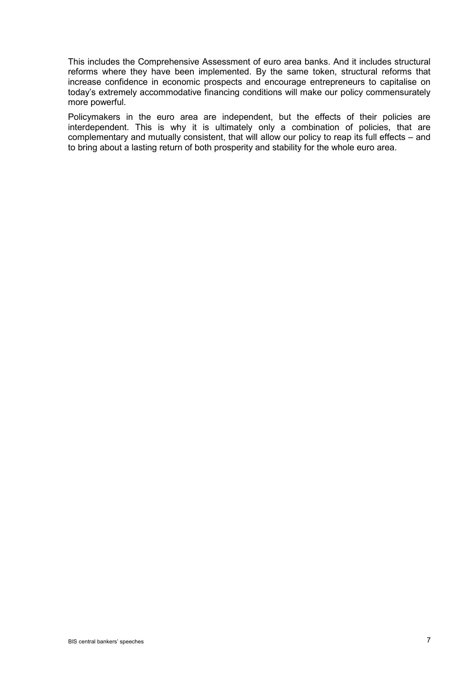This includes the Comprehensive Assessment of euro area banks. And it includes structural reforms where they have been implemented. By the same token, structural reforms that increase confidence in economic prospects and encourage entrepreneurs to capitalise on today's extremely accommodative financing conditions will make our policy commensurately more powerful.

Policymakers in the euro area are independent, but the effects of their policies are interdependent. This is why it is ultimately only a combination of policies, that are complementary and mutually consistent, that will allow our policy to reap its full effects – and to bring about a lasting return of both prosperity and stability for the whole euro area.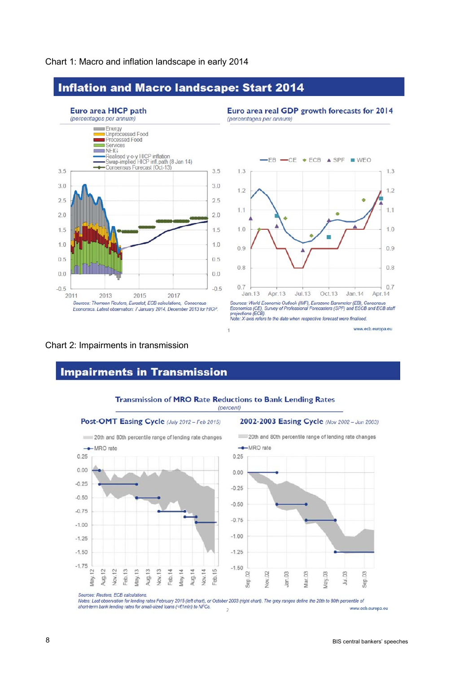

#### Chart 1: Macro and inflation landscape in early 2014

# **Inflation and Macro landscape: Start 2014**



Note: X-axis refers to the date when respective forecast were finalised.

### Chart 2: Impairments in transmission

# **Impairments in Transmission**



**Transmission of MRO Rate Reductions to Bank Lending Rates** 

Sources: Reuters, ECB calculations

Notes: Last observation for lending rates February 2015 (left chart), or October 2003 (right chart). The grey ranges define the 20th to 80th percentile of short-term bank lending rates for small-sized loans (<€1mln) to NFCs. www.ecb.europa.eu  $\overline{z}$ 

www.ecb.europa.eu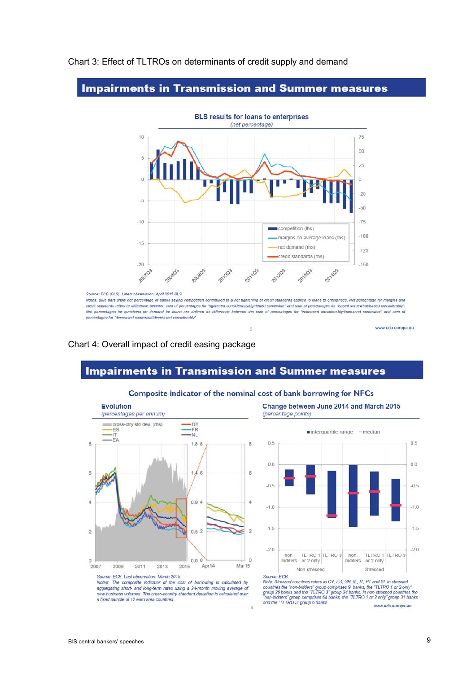

#### Chart 3: Effect of TLTROs on determinants of credit supply and demand

### **Impairments in Transmission and Summer measures**

Chart 4: Overall impact of credit easing package

# **Impairments in Transmission and Summer measures**



Composite indicator of the nominal cost of bank borrowing for NFCs

 $\overline{A}$ 

Change between June 2014 and March 2015 (percentage points)



Notes: The composite indicator of the cost of borrowing is calculated by aggregating short- and long-term rates using a 24-month moving average of new business volumes. The cross-country standard deviation is calculated over a fixed sample of 12 euro area countries.

Note: Stressed countries refers to CY, E3, GR, IE, IT, PT and SI. In stressed river. University countries the "non-bidders" group comprises 9 banks, the "TLTRO 1 or 2 only"<br>group 26 banks and the "TLTRO 3" group 24 banks. In non-trosecd countries the "non-bidders" group 27 banks. In non-trosecd cou www.ecb.europa.eu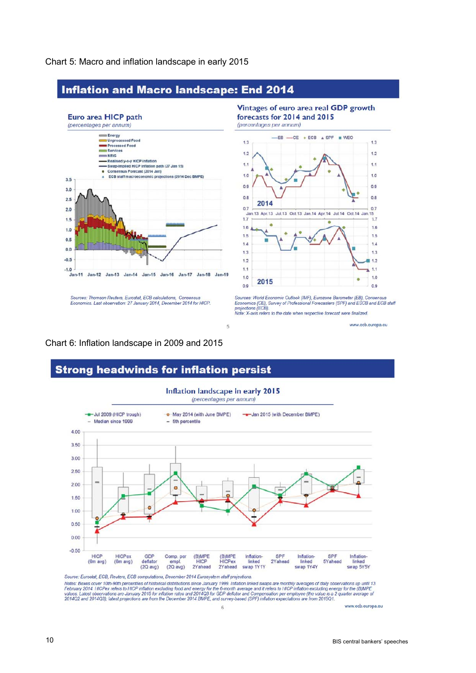

Chart 5: Macro and inflation landscape in early 2015

### Chart 6: Inflation landscape in 2009 and 2015





Source. Eurosial, EOD, recided by computations, Devertibler 2014 Eurosystem start projection linked swaps are monthly averages of daily observations up until 13<br>Notes: Boxes cover 10th-90th percentiles of historical distri

 $\sqrt{6}$ 

www.ecb.europa.eu